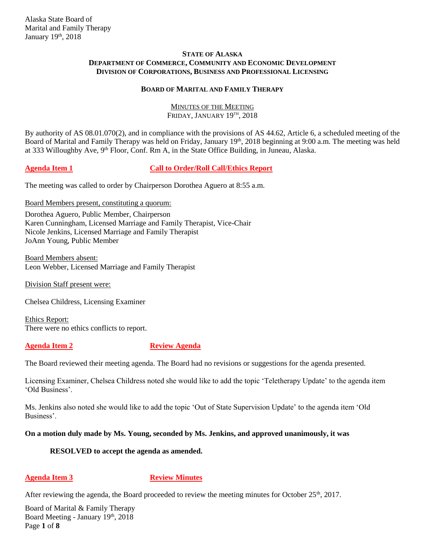## **STATE OF ALASKA DEPARTMENT OF COMMERCE, COMMUNITY AND ECONOMIC DEVELOPMENT DIVISION OF CORPORATIONS, BUSINESS AND PROFESSIONAL LICENSING**

## **BOARD OF MARITAL AND FAMILY THERAPY**

## MINUTES OF THE MEETING FRIDAY, JANUARY 19<sup>th</sup>, 2018

By authority of AS 08.01.070(2), and in compliance with the provisions of AS 44.62, Article 6, a scheduled meeting of the Board of Marital and Family Therapy was held on Friday, January 19<sup>th</sup>, 2018 beginning at 9:00 a.m. The meeting was held at 333 Willoughby Ave, 9<sup>th</sup> Floor, Conf. Rm A, in the State Office Building, in Juneau, Alaska.

# **Agenda Item 1 Call to Order/Roll Call/Ethics Report**

The meeting was called to order by Chairperson Dorothea Aguero at 8:55 a.m.

## Board Members present, constituting a quorum:

Dorothea Aguero, Public Member, Chairperson Karen Cunningham, Licensed Marriage and Family Therapist, Vice-Chair Nicole Jenkins, Licensed Marriage and Family Therapist JoAnn Young, Public Member

Board Members absent: Leon Webber, Licensed Marriage and Family Therapist

Division Staff present were:

Chelsea Childress, Licensing Examiner

Ethics Report: There were no ethics conflicts to report.

# **Agenda Item 2 Review Agenda**

The Board reviewed their meeting agenda. The Board had no revisions or suggestions for the agenda presented.

Licensing Examiner, Chelsea Childress noted she would like to add the topic 'Teletherapy Update' to the agenda item 'Old Business'.

Ms. Jenkins also noted she would like to add the topic 'Out of State Supervision Update' to the agenda item 'Old Business'.

# **On a motion duly made by Ms. Young, seconded by Ms. Jenkins, and approved unanimously, it was**

# **RESOLVED to accept the agenda as amended.**

# **Agenda Item 3** Review Minutes

After reviewing the agenda, the Board proceeded to review the meeting minutes for October 25<sup>th</sup>, 2017.

Board of Marital & Family Therapy Board Meeting - January 19th, 2018 Page **1** of **8**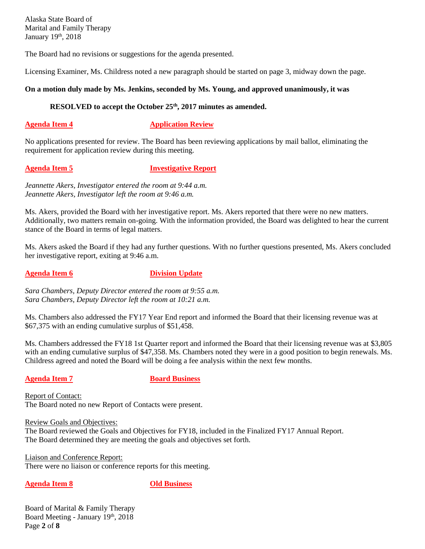The Board had no revisions or suggestions for the agenda presented.

Licensing Examiner, Ms. Childress noted a new paragraph should be started on page 3, midway down the page.

## **On a motion duly made by Ms. Jenkins, seconded by Ms. Young, and approved unanimously, it was**

## **RESOLVED to accept the October 25th, 2017 minutes as amended.**

**Agenda Item 4 Application Review** 

No applications presented for review. The Board has been reviewing applications by mail ballot, eliminating the requirement for application review during this meeting.

## **Agenda Item 5 Investigative Report**

*Jeannette Akers, Investigator entered the room at 9:44 a.m. Jeannette Akers, Investigator left the room at 9:46 a.m.*

Ms. Akers, provided the Board with her investigative report. Ms. Akers reported that there were no new matters. Additionally, two matters remain on-going. With the information provided, the Board was delighted to hear the current stance of the Board in terms of legal matters.

Ms. Akers asked the Board if they had any further questions. With no further questions presented, Ms. Akers concluded her investigative report, exiting at 9:46 a.m.

**Agenda Item 6 Division Update** 

*Sara Chambers, Deputy Director entered the room at 9:55 a.m. Sara Chambers, Deputy Director left the room at 10:21 a.m.*

Ms. Chambers also addressed the FY17 Year End report and informed the Board that their licensing revenue was at \$67,375 with an ending cumulative surplus of \$51,458.

Ms. Chambers addressed the FY18 1st Quarter report and informed the Board that their licensing revenue was at \$3,805 with an ending cumulative surplus of \$47,358. Ms. Chambers noted they were in a good position to begin renewals. Ms. Childress agreed and noted the Board will be doing a fee analysis within the next few months.

**Agenda Item 7 Board Business** 

Report of Contact: The Board noted no new Report of Contacts were present.

Review Goals and Objectives: The Board reviewed the Goals and Objectives for FY18, included in the Finalized FY17 Annual Report. The Board determined they are meeting the goals and objectives set forth.

Liaison and Conference Report: There were no liaison or conference reports for this meeting.

**Agenda Item 8 Old Business**

Board of Marital & Family Therapy Board Meeting - January 19th, 2018 Page **2** of **8**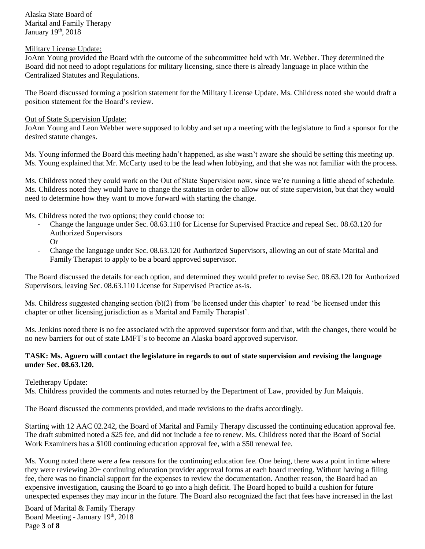## Military License Update:

JoAnn Young provided the Board with the outcome of the subcommittee held with Mr. Webber. They determined the Board did not need to adopt regulations for military licensing, since there is already language in place within the Centralized Statutes and Regulations.

The Board discussed forming a position statement for the Military License Update. Ms. Childress noted she would draft a position statement for the Board's review.

## Out of State Supervision Update:

JoAnn Young and Leon Webber were supposed to lobby and set up a meeting with the legislature to find a sponsor for the desired statute changes.

Ms. Young informed the Board this meeting hadn't happened, as she wasn't aware she should be setting this meeting up. Ms. Young explained that Mr. McCarty used to be the lead when lobbying, and that she was not familiar with the process.

Ms. Childress noted they could work on the Out of State Supervision now, since we're running a little ahead of schedule. Ms. Childress noted they would have to change the statutes in order to allow out of state supervision, but that they would need to determine how they want to move forward with starting the change.

Ms. Childress noted the two options; they could choose to:

- Change the language under Sec. 08.63.110 for License for Supervised Practice and repeal Sec. 08.63.120 for Authorized Supervisors
	- Or
- Change the language under Sec. 08.63.120 for Authorized Supervisors, allowing an out of state Marital and Family Therapist to apply to be a board approved supervisor.

The Board discussed the details for each option, and determined they would prefer to revise Sec. 08.63.120 for Authorized Supervisors, leaving Sec. 08.63.110 License for Supervised Practice as-is.

Ms. Childress suggested changing section (b)(2) from 'be licensed under this chapter' to read 'be licensed under this chapter or other licensing jurisdiction as a Marital and Family Therapist'.

Ms. Jenkins noted there is no fee associated with the approved supervisor form and that, with the changes, there would be no new barriers for out of state LMFT's to become an Alaska board approved supervisor.

# **TASK: Ms. Aguero will contact the legislature in regards to out of state supervision and revising the language under Sec. 08.63.120.**

# Teletherapy Update:

Ms. Childress provided the comments and notes returned by the Department of Law, provided by Jun Maiquis.

The Board discussed the comments provided, and made revisions to the drafts accordingly.

Starting with 12 AAC 02.242, the Board of Marital and Family Therapy discussed the continuing education approval fee. The draft submitted noted a \$25 fee, and did not include a fee to renew. Ms. Childress noted that the Board of Social Work Examiners has a \$100 continuing education approval fee, with a \$50 renewal fee.

Ms. Young noted there were a few reasons for the continuing education fee. One being, there was a point in time where they were reviewing 20+ continuing education provider approval forms at each board meeting. Without having a filing fee, there was no financial support for the expenses to review the documentation. Another reason, the Board had an expensive investigation, causing the Board to go into a high deficit. The Board hoped to build a cushion for future unexpected expenses they may incur in the future. The Board also recognized the fact that fees have increased in the last

Board of Marital & Family Therapy Board Meeting - January 19th, 2018 Page **3** of **8**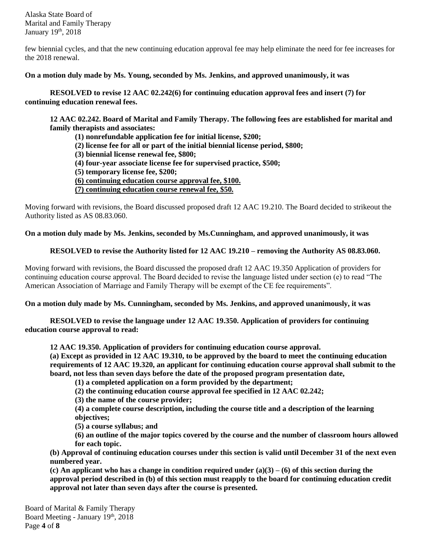few biennial cycles, and that the new continuing education approval fee may help eliminate the need for fee increases for the 2018 renewal.

## **On a motion duly made by Ms. Young, seconded by Ms. Jenkins, and approved unanimously, it was**

**RESOLVED to revise 12 AAC 02.242(6) for continuing education approval fees and insert (7) for continuing education renewal fees.**

**12 AAC 02.242. Board of Marital and Family Therapy. The following fees are established for marital and family therapists and associates:**

**(1) nonrefundable application fee for initial license, \$200;** 

- **(2) license fee for all or part of the initial biennial license period, \$800;**
- **(3) biennial license renewal fee, \$800;**
- **(4) four-year associate license fee for supervised practice, \$500;**
- **(5) temporary license fee, \$200;**
- **(6) continuing education course approval fee, \$100.**

**(7) continuing education course renewal fee, \$50.**

Moving forward with revisions, the Board discussed proposed draft 12 AAC 19.210. The Board decided to strikeout the Authority listed as AS 08.83.060.

**On a motion duly made by Ms. Jenkins, seconded by Ms.Cunningham, and approved unanimously, it was**

## **RESOLVED to revise the Authority listed for 12 AAC 19.210 – removing the Authority AS 08.83.060.**

Moving forward with revisions, the Board discussed the proposed draft 12 AAC 19.350 Application of providers for continuing education course approval. The Board decided to revise the language listed under section (e) to read "The American Association of Marriage and Family Therapy will be exempt of the CE fee requirements".

**On a motion duly made by Ms. Cunningham, seconded by Ms. Jenkins, and approved unanimously, it was**

**RESOLVED to revise the language under 12 AAC 19.350. Application of providers for continuing education course approval to read:** 

**12 AAC 19.350. Application of providers for continuing education course approval.** 

**(a) Except as provided in 12 AAC 19.310, to be approved by the board to meet the continuing education requirements of 12 AAC 19.320, an applicant for continuing education course approval shall submit to the board, not less than seven days before the date of the proposed program presentation date,** 

**(1) a completed application on a form provided by the department;** 

**(2) the continuing education course approval fee specified in 12 AAC 02.242;** 

**(3) the name of the course provider;** 

**(4) a complete course description, including the course title and a description of the learning objectives;** 

**(5) a course syllabus; and**

**(6) an outline of the major topics covered by the course and the number of classroom hours allowed for each topic.** 

**(b) Approval of continuing education courses under this section is valid until December 31 of the next even numbered year.** 

**(c) An applicant who has a change in condition required under (a)(3) – (6) of this section during the approval period described in (b) of this section must reapply to the board for continuing education credit approval not later than seven days after the course is presented.**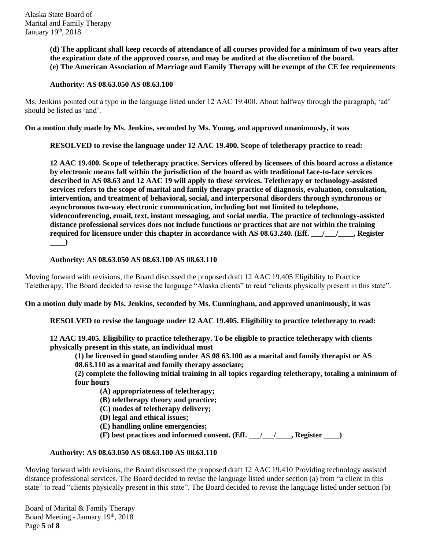**(d) The applicant shall keep records of attendance of all courses provided for a minimum of two years after the expiration date of the approved course, and may be audited at the discretion of the board. (e) The American Association of Marriage and Family Therapy will be exempt of the CE fee requirements**

## **Authority: AS 08.63.050 AS 08.63.100**

Ms. Jenkins pointed out a typo in the language listed under 12 AAC 19.400. About halfway through the paragraph, 'ad' should be listed as 'and'.

**On a motion duly made by Ms. Jenkins, seconded by Ms. Young, and approved unanimously, it was**

**RESOLVED to revise the language under 12 AAC 19.400. Scope of teletherapy practice to read:** 

**12 AAC 19.400. Scope of teletherapy practice. Services offered by licensees of this board across a distance by electronic means fall within the jurisdiction of the board as with traditional face-to-face services described in AS 08.63 and 12 AAC 19 will apply to these services. Teletherapy or technology-assisted services refers to the scope of marital and family therapy practice of diagnosis, evaluation, consultation, intervention, and treatment of behavioral, social, and interpersonal disorders through synchronous or asynchronous two-way electronic communication, including but not limited to telephone, videoconferencing, email, text, instant messaging, and social media. The practice of technology-assisted distance professional services does not include functions or practices that are not within the training required for licensure under this chapter in accordance with AS 08.63.240. (Eff. \_\_\_/\_\_\_/\_\_\_\_, Register**   $\Box$ 

## **Authority: AS 08.63.050 AS 08.63.100 AS 08.63.110**

Moving forward with revisions, the Board discussed the proposed draft 12 AAC 19.405 Eligibility to Practice Teletherapy. The Board decided to revise the language "Alaska clients" to read "clients physically present in this state".

**On a motion duly made by Ms. Jenkins, seconded by Ms. Cunningham, and approved unanimously, it was**

**RESOLVED to revise the language under 12 AAC 19.405. Eligibility to practice teletherapy to read:** 

**12 AAC 19.405. Eligibility to practice teletherapy. To be eligible to practice teletherapy with clients physically present in this state, an individual must**

**(1) be licensed in good standing under AS 08 63.100 as a marital and family therapist or AS 08.63.110 as a marital and family therapy associate;** 

**(2) complete the following initial training in all topics regarding teletherapy, totaling a minimum of four hours** 

**(A) appropriateness of teletherapy;** 

**(B) teletherapy theory and practice;** 

- **(C) modes of teletherapy delivery;**
- **(D) legal and ethical issues;**
- **(E) handling online emergencies;**
- $(F)$  best practices and informed consent. (Eff.  $\angle$  /  $\angle$  Register  $\Box$ )

## **Authority: AS 08.63.050 AS 08.63.100 AS 08.63.110**

Moving forward with revisions, the Board discussed the proposed draft 12 AAC 19.410 Providing technology assisted distance professional services. The Board decided to revise the language listed under section (a) from "a client in this state" to read "clients physically present in this state". The Board decided to revise the language listed under section (b)

Board of Marital & Family Therapy Board Meeting - January 19th, 2018 Page **5** of **8**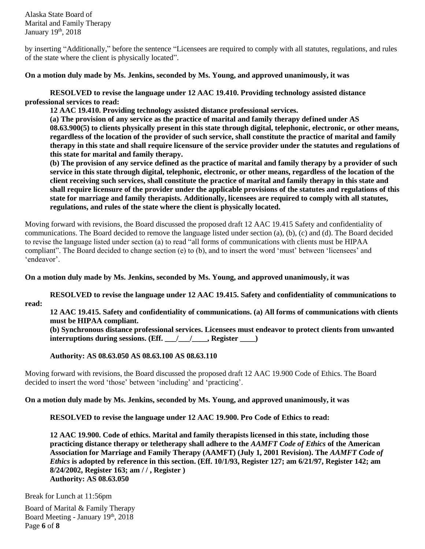by inserting "Additionally," before the sentence "Licensees are required to comply with all statutes, regulations, and rules of the state where the client is physically located".

### **On a motion duly made by Ms. Jenkins, seconded by Ms. Young, and approved unanimously, it was**

**RESOLVED to revise the language under 12 AAC 19.410. Providing technology assisted distance professional services to read:** 

**12 AAC 19.410. Providing technology assisted distance professional services. (a) The provision of any service as the practice of marital and family therapy defined under AS 08.63.900(5) to clients physically present in this state through digital, telephonic, electronic, or other means, regardless of the location of the provider of such service, shall constitute the practice of marital and family therapy in this state and shall require licensure of the service provider under the statutes and regulations of** 

**this state for marital and family therapy.** 

**(b) The provision of any service defined as the practice of marital and family therapy by a provider of such service in this state through digital, telephonic, electronic, or other means, regardless of the location of the client receiving such services, shall constitute the practice of marital and family therapy in this state and shall require licensure of the provider under the applicable provisions of the statutes and regulations of this state for marriage and family therapists. Additionally, licensees are required to comply with all statutes, regulations, and rules of the state where the client is physically located.**

Moving forward with revisions, the Board discussed the proposed draft 12 AAC 19.415 Safety and confidentiality of communications. The Board decided to remove the language listed under section (a), (b), (c) and (d). The Board decided to revise the language listed under section (a) to read "all forms of communications with clients must be HIPAA compliant". The Board decided to change section (e) to (b), and to insert the word 'must' between 'licensees' and 'endeavor'.

**On a motion duly made by Ms. Jenkins, seconded by Ms. Young, and approved unanimously, it was**

**RESOLVED to revise the language under 12 AAC 19.415. Safety and confidentiality of communications to read:** 

**12 AAC 19.415. Safety and confidentiality of communications. (a) All forms of communications with clients must be HIPAA compliant.**

**(b) Synchronous distance professional services. Licensees must endeavor to protect clients from unwanted interruptions during sessions. (Eff. \_\_\_/\_\_\_/\_\_\_\_, Register \_\_\_\_)** 

**Authority: AS 08.63.050 AS 08.63.100 AS 08.63.110**

Moving forward with revisions, the Board discussed the proposed draft 12 AAC 19.900 Code of Ethics. The Board decided to insert the word 'those' between 'including' and 'practicing'.

# **On a motion duly made by Ms. Jenkins, seconded by Ms. Young, and approved unanimously, it was**

**RESOLVED to revise the language under 12 AAC 19.900. Pro Code of Ethics to read:** 

**12 AAC 19.900. Code of ethics. Marital and family therapists licensed in this state, including those practicing distance therapy or teletherapy shall adhere to the** *AAMFT Code of Ethics* **of the American Association for Marriage and Family Therapy (AAMFT) (July 1, 2001 Revision). The** *AAMFT Code of Ethics* **is adopted by reference in this section. (Eff. 10/1/93, Register 127; am 6/21/97, Register 142; am 8/24/2002, Register 163; am / / , Register ) Authority: AS 08.63.050**

Break for Lunch at 11:56pm

Board of Marital & Family Therapy Board Meeting - January 19th, 2018 Page **6** of **8**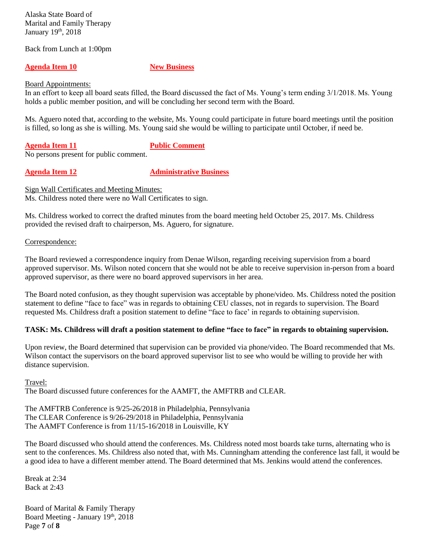Back from Lunch at 1:00pm

### **Agenda Item 10 New Business**

Board Appointments:

In an effort to keep all board seats filled, the Board discussed the fact of Ms. Young's term ending 3/1/2018. Ms. Young holds a public member position, and will be concluding her second term with the Board.

Ms. Aguero noted that, according to the website, Ms. Young could participate in future board meetings until the position is filled, so long as she is willing. Ms. Young said she would be willing to participate until October, if need be.

**Agenda Item 11 Public Comment**

No persons present for public comment.

**Agenda Item 12 Administrative Business** 

Sign Wall Certificates and Meeting Minutes: Ms. Childress noted there were no Wall Certificates to sign.

Ms. Childress worked to correct the drafted minutes from the board meeting held October 25, 2017. Ms. Childress provided the revised draft to chairperson, Ms. Aguero, for signature.

## Correspondence:

The Board reviewed a correspondence inquiry from Denae Wilson, regarding receiving supervision from a board approved supervisor. Ms. Wilson noted concern that she would not be able to receive supervision in-person from a board approved supervisor, as there were no board approved supervisors in her area.

The Board noted confusion, as they thought supervision was acceptable by phone/video. Ms. Childress noted the position statement to define "face to face" was in regards to obtaining CEU classes, not in regards to supervision. The Board requested Ms. Childress draft a position statement to define "face to face' in regards to obtaining supervision.

## **TASK: Ms. Childress will draft a position statement to define "face to face" in regards to obtaining supervision.**

Upon review, the Board determined that supervision can be provided via phone/video. The Board recommended that Ms. Wilson contact the supervisors on the board approved supervisor list to see who would be willing to provide her with distance supervision.

## Travel:

The Board discussed future conferences for the AAMFT, the AMFTRB and CLEAR.

The AMFTRB Conference is 9/25-26/2018 in Philadelphia, Pennsylvania The CLEAR Conference is 9/26-29/2018 in Philadelphia, Pennsylvania The AAMFT Conference is from 11/15-16/2018 in Louisville, KY

The Board discussed who should attend the conferences. Ms. Childress noted most boards take turns, alternating who is sent to the conferences. Ms. Childress also noted that, with Ms. Cunningham attending the conference last fall, it would be a good idea to have a different member attend. The Board determined that Ms. Jenkins would attend the conferences.

Break at 2:34 Back at 2:43

Board of Marital & Family Therapy Board Meeting - January 19th, 2018 Page **7** of **8**